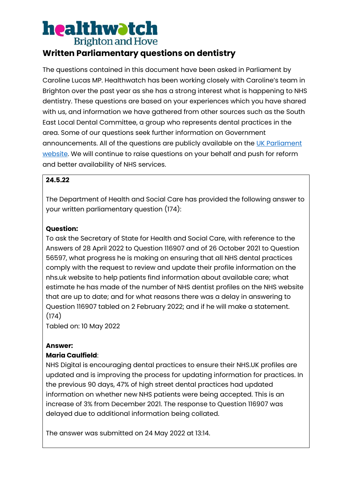## **Written Parliamentary questions on dentistry**

The questions contained in this document have been asked in Parliament by Caroline Lucas MP. Healthwatch has been working closely with Caroline's team in Brighton over the past year as she has a strong interest what is happening to NHS dentistry. These questions are based on your experiences which you have shared with us, and information we have gathered from other sources such as the South East Local Dental Committee, a group who represents dental practices in the area. Some of our questions seek further information on Government announcements. All of the questions are publicly available on the [UK Parliament](https://questions-statements.parliament.uk/)  [website.](https://questions-statements.parliament.uk/) We will continue to raise questions on your behalf and push for reform and better availability of NHS services.

### **24.5.22**

The Department of Health and Social Care has provided the following answer to your written parliamentary question (174):

#### **Question:**

To ask the Secretary of State for Health and Social Care, with reference to the Answers of 28 April 2022 to Question 116907 and of 26 October 2021 to Question 56597, what progress he is making on ensuring that all NHS dental practices comply with the request to review and update their profile information on the nhs.uk website to help patients find information about available care; what estimate he has made of the number of NHS dentist profiles on the NHS website that are up to date; and for what reasons there was a delay in answering to Question 116907 tabled on 2 February 2022; and if he will make a statement. (174)

Tabled on: 10 May 2022

#### **Answer:**

#### **Maria Caulfield**:

NHS Digital is encouraging dental practices to ensure their NHS.UK profiles are updated and is improving the process for updating information for practices. In the previous 90 days, 47% of high street dental practices had updated information on whether new NHS patients were being accepted. This is an increase of 3% from December 2021. The response to Question 116907 was delayed due to additional information being collated.

The answer was submitted on 24 May 2022 at 13:14.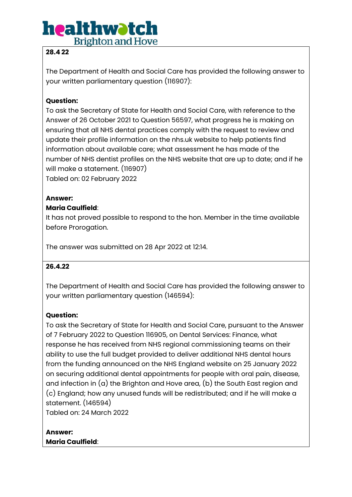### **28.4 22**

The Department of Health and Social Care has provided the following answer to your written parliamentary question (116907):

## **Question:**

To ask the Secretary of State for Health and Social Care, with reference to the Answer of 26 October 2021 to Question 56597, what progress he is making on ensuring that all NHS dental practices comply with the request to review and update their profile information on the nhs.uk website to help patients find information about available care; what assessment he has made of the number of NHS dentist profiles on the NHS website that are up to date; and if he will make a statement. (116907)

Tabled on: 02 February 2022

#### **Answer:**

#### **Maria Caulfield**:

It has not proved possible to respond to the hon. Member in the time available before Prorogation.

The answer was submitted on 28 Apr 2022 at 12:14.

#### **26.4.22**

The Department of Health and Social Care has provided the following answer to your written parliamentary question (146594):

#### **Question:**

To ask the Secretary of State for Health and Social Care, pursuant to the Answer of 7 February 2022 to Question 116905, on Dental Services: Finance, what response he has received from NHS regional commissioning teams on their ability to use the full budget provided to deliver additional NHS dental hours from the funding announced on the NHS England website on 25 January 2022 on securing additional dental appointments for people with oral pain, disease, and infection in (a) the Brighton and Hove area, (b) the South East region and (c) England; how any unused funds will be redistributed; and if he will make a statement. (146594)

Tabled on: 24 March 2022

### **Answer: Maria Caulfield**: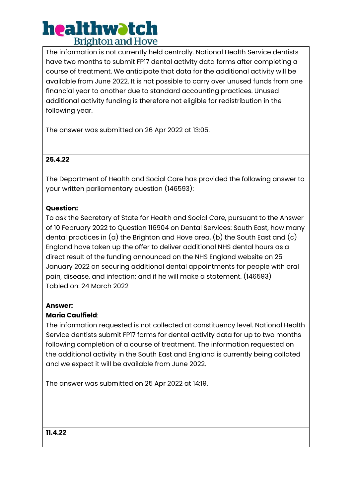The information is not currently held centrally. National Health Service dentists have two months to submit FP17 dental activity data forms after completing a course of treatment. We anticipate that data for the additional activity will be available from June 2022. It is not possible to carry over unused funds from one financial year to another due to standard accounting practices. Unused additional activity funding is therefore not eligible for redistribution in the following year.

The answer was submitted on 26 Apr 2022 at 13:05.

### **25.4.22**

The Department of Health and Social Care has provided the following answer to your written parliamentary question (146593):

### **Question:**

To ask the Secretary of State for Health and Social Care, pursuant to the Answer of 10 February 2022 to Question 116904 on Dental Services: South East, how many dental practices in  $(a)$  the Brighton and Hove area,  $(b)$  the South East and  $(c)$ England have taken up the offer to deliver additional NHS dental hours as a direct result of the funding announced on the NHS England website on 25 January 2022 on securing additional dental appointments for people with oral pain, disease, and infection; and if he will make a statement. (146593) Tabled on: 24 March 2022

#### **Answer:**

#### **Maria Caulfield**:

The information requested is not collected at constituency level. National Health Service dentists submit FP17 forms for dental activity data for up to two months following completion of a course of treatment. The information requested on the additional activity in the South East and England is currently being collated and we expect it will be available from June 2022.

The answer was submitted on 25 Apr 2022 at 14:19.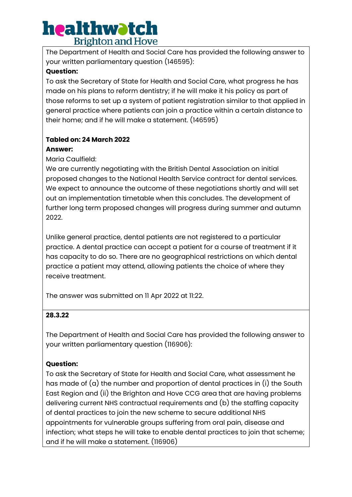The Department of Health and Social Care has provided the following answer to your written parliamentary question (146595):

#### **Question:**

To ask the Secretary of State for Health and Social Care, what progress he has made on his plans to reform dentistry; if he will make it his policy as part of those reforms to set up a system of patient registration similar to that applied in general practice where patients can join a practice within a certain distance to their home; and if he will make a statement. (146595)

## **Tabled on: 24 March 2022**

#### **Answer:**

Maria Caulfield:

We are currently negotiating with the British Dental Association on initial proposed changes to the National Health Service contract for dental services. We expect to announce the outcome of these negotiations shortly and will set out an implementation timetable when this concludes. The development of further long term proposed changes will progress during summer and autumn 2022.

Unlike general practice, dental patients are not registered to a particular practice. A dental practice can accept a patient for a course of treatment if it has capacity to do so. There are no geographical restrictions on which dental practice a patient may attend, allowing patients the choice of where they receive treatment.

The answer was submitted on 11 Apr 2022 at 11:22.

## **28.3.22**

The Department of Health and Social Care has provided the following answer to your written parliamentary question (116906):

## **Question:**

To ask the Secretary of State for Health and Social Care, what assessment he has made of (a) the number and proportion of dental practices in (i) the South East Region and (ii) the Brighton and Hove CCG area that are having problems delivering current NHS contractual requirements and (b) the staffing capacity of dental practices to join the new scheme to secure additional NHS appointments for vulnerable groups suffering from oral pain, disease and infection; what steps he will take to enable dental practices to join that scheme; and if he will make a statement. (116906)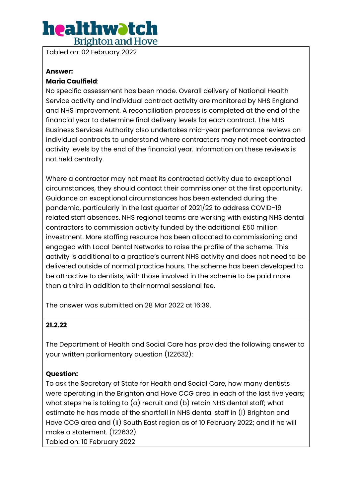Tabled on: 02 February 2022

#### **Answer:**

#### **Maria Caulfield**:

No specific assessment has been made. Overall delivery of National Health Service activity and individual contract activity are monitored by NHS England and NHS Improvement. A reconciliation process is completed at the end of the financial year to determine final delivery levels for each contract. The NHS Business Services Authority also undertakes mid-year performance reviews on individual contracts to understand where contractors may not meet contracted activity levels by the end of the financial year. Information on these reviews is not held centrally.

Where a contractor may not meet its contracted activity due to exceptional circumstances, they should contact their commissioner at the first opportunity. Guidance on exceptional circumstances has been extended during the pandemic, particularly in the last quarter of 2021/22 to address COVID-19 related staff absences. NHS regional teams are working with existing NHS dental contractors to commission activity funded by the additional £50 million investment. More staffing resource has been allocated to commissioning and engaged with Local Dental Networks to raise the profile of the scheme. This activity is additional to a practice's current NHS activity and does not need to be delivered outside of normal practice hours. The scheme has been developed to be attractive to dentists, with those involved in the scheme to be paid more than a third in addition to their normal sessional fee.

The answer was submitted on 28 Mar 2022 at 16:39.

#### **21.2.22**

The Department of Health and Social Care has provided the following answer to your written parliamentary question (122632):

#### **Question:**

To ask the Secretary of State for Health and Social Care, how many dentists were operating in the Brighton and Hove CCG area in each of the last five years; what steps he is taking to (a) recruit and (b) retain NHS dental staff; what estimate he has made of the shortfall in NHS dental staff in (i) Brighton and Hove CCG area and (ii) South East region as of 10 February 2022; and if he will make a statement. (122632)

Tabled on: 10 February 2022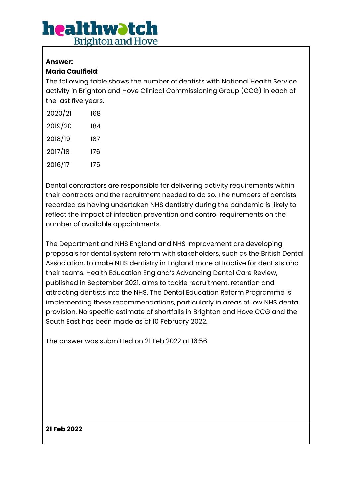## **Answer:**

## **Maria Caulfield**:

The following table shows the number of dentists with National Health Service activity in Brighton and Hove Clinical Commissioning Group (CCG) in each of the last five years.

| 2020/21 | 168 |
|---------|-----|
| 2019/20 | 184 |
| 2018/19 | 187 |
| 2017/18 | 176 |
| 2016/17 | 175 |

Dental contractors are responsible for delivering activity requirements within their contracts and the recruitment needed to do so. The numbers of dentists recorded as having undertaken NHS dentistry during the pandemic is likely to reflect the impact of infection prevention and control requirements on the number of available appointments.

The Department and NHS England and NHS Improvement are developing proposals for dental system reform with stakeholders, such as the British Dental Association, to make NHS dentistry in England more attractive for dentists and their teams. Health Education England's Advancing Dental Care Review, published in September 2021, aims to tackle recruitment, retention and attracting dentists into the NHS. The Dental Education Reform Programme is implementing these recommendations, particularly in areas of low NHS dental provision. No specific estimate of shortfalls in Brighton and Hove CCG and the South East has been made as of 10 February 2022.

The answer was submitted on 21 Feb 2022 at 16:56.

**21 Feb 2022**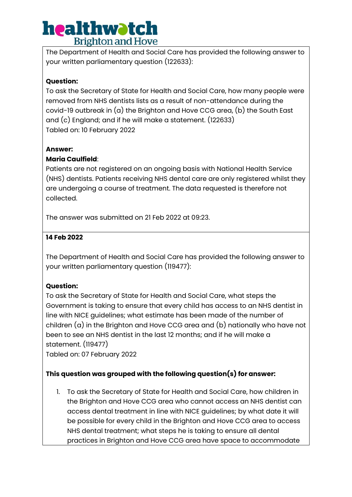The Department of Health and Social Care has provided the following answer to your written parliamentary question (122633):

## **Question:**

To ask the Secretary of State for Health and Social Care, how many people were removed from NHS dentists lists as a result of non-attendance during the covid-19 outbreak in (a) the Brighton and Hove CCG area, (b) the South East and (c) England; and if he will make a statement. (122633) Tabled on: 10 February 2022

### **Answer:**

## **Maria Caulfield**:

Patients are not registered on an ongoing basis with National Health Service (NHS) dentists. Patients receiving NHS dental care are only registered whilst they are undergoing a course of treatment. The data requested is therefore not collected.

The answer was submitted on 21 Feb 2022 at 09:23.

### **14 Feb 2022**

The Department of Health and Social Care has provided the following answer to your written parliamentary question (119477):

## **Question:**

To ask the Secretary of State for Health and Social Care, what steps the Government is taking to ensure that every child has access to an NHS dentist in line with NICE guidelines; what estimate has been made of the number of children (a) in the Brighton and Hove CCG area and (b) nationally who have not been to see an NHS dentist in the last 12 months; and if he will make a statement. (119477)

Tabled on: 07 February 2022

## **This question was grouped with the following question(s) for answer:**

1. To ask the Secretary of State for Health and Social Care, how children in the Brighton and Hove CCG area who cannot access an NHS dentist can access dental treatment in line with NICE guidelines; by what date it will be possible for every child in the Brighton and Hove CCG area to access NHS dental treatment; what steps he is taking to ensure all dental practices in Brighton and Hove CCG area have space to accommodate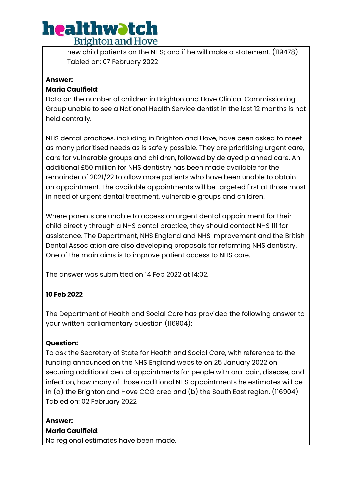new child patients on the NHS; and if he will make a statement. (119478) Tabled on: 07 February 2022

### **Answer:**

### **Maria Caulfield**:

Data on the number of children in Brighton and Hove Clinical Commissioning Group unable to see a National Health Service dentist in the last 12 months is not held centrally.

NHS dental practices, including in Brighton and Hove, have been asked to meet as many prioritised needs as is safely possible. They are prioritising urgent care, care for vulnerable groups and children, followed by delayed planned care. An additional £50 million for NHS dentistry has been made available for the remainder of 2021/22 to allow more patients who have been unable to obtain an appointment. The available appointments will be targeted first at those most in need of urgent dental treatment, vulnerable groups and children.

Where parents are unable to access an urgent dental appointment for their child directly through a NHS dental practice, they should contact NHS 111 for assistance. The Department, NHS England and NHS Improvement and the British Dental Association are also developing proposals for reforming NHS dentistry. One of the main aims is to improve patient access to NHS care.

The answer was submitted on 14 Feb 2022 at 14:02.

## **10 Feb 2022**

The Department of Health and Social Care has provided the following answer to your written parliamentary question (116904):

## **Question:**

To ask the Secretary of State for Health and Social Care, with reference to the funding announced on the NHS England website on 25 January 2022 on securing additional dental appointments for people with oral pain, disease, and infection, how many of those additional NHS appointments he estimates will be in  $(a)$  the Brighton and Hove CCG area and  $(b)$  the South East region. (116904) Tabled on: 02 February 2022

**Answer: Maria Caulfield**:

No regional estimates have been made.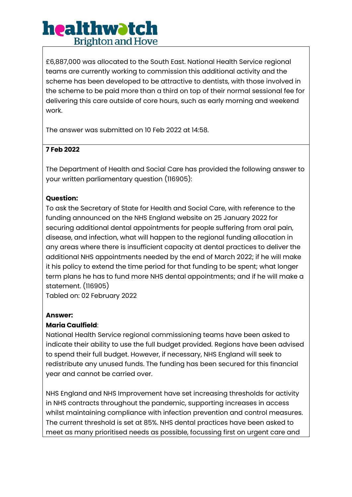£6,887,000 was allocated to the South East. National Health Service regional teams are currently working to commission this additional activity and the scheme has been developed to be attractive to dentists, with those involved in the scheme to be paid more than a third on top of their normal sessional fee for delivering this care outside of core hours, such as early morning and weekend work.

The answer was submitted on 10 Feb 2022 at 14:58.

## **7 Feb 2022**

The Department of Health and Social Care has provided the following answer to your written parliamentary question (116905):

### **Question:**

To ask the Secretary of State for Health and Social Care, with reference to the funding announced on the NHS England website on 25 January 2022 for securing additional dental appointments for people suffering from oral pain, disease, and infection, what will happen to the regional funding allocation in any areas where there is insufficient capacity at dental practices to deliver the additional NHS appointments needed by the end of March 2022; if he will make it his policy to extend the time period for that funding to be spent; what longer term plans he has to fund more NHS dental appointments; and if he will make a statement. (116905)

Tabled on: 02 February 2022

#### **Answer:**

#### **Maria Caulfield**:

National Health Service regional commissioning teams have been asked to indicate their ability to use the full budget provided. Regions have been advised to spend their full budget. However, if necessary, NHS England will seek to redistribute any unused funds. The funding has been secured for this financial year and cannot be carried over.

NHS England and NHS Improvement have set increasing thresholds for activity in NHS contracts throughout the pandemic, supporting increases in access whilst maintaining compliance with infection prevention and control measures. The current threshold is set at 85%. NHS dental practices have been asked to meet as many prioritised needs as possible, focussing first on urgent care and